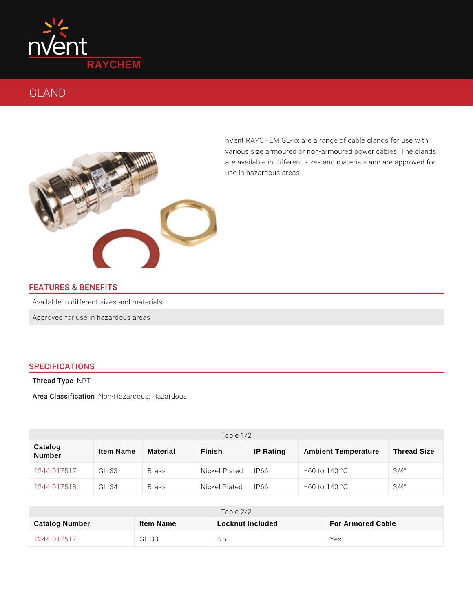

# GLAND

nVent RAYCHEM GL-xx are a range of cable gl various size armoured or non-armoured power are available in different sizes and materials use in hazardous areas.

# FEATURES & BENEFITS

Available in different sizes and materials

Approved for use in hazardous areas

### SPECIFICATIONS

Thread TN pe

Thread TNyβē<br>Area ClassifiNcoantioHnazardous; Hazardous

| Table 1/2                       |           |              |                 |           |                            |                    |
|---------------------------------|-----------|--------------|-----------------|-----------|----------------------------|--------------------|
| Catalog<br>Number               | Item Name | Material     | Finish          | IP Rating | <b>Ambient Temperature</b> | <b>Thread Size</b> |
| 1 2 4 4 - 0 1 7 5 1 7 G L - 3 3 |           | <b>Brass</b> | Nickel-Platted6 |           | " 60 to 140 °C             | $3/4$ "            |
| 1244-017518GL-34                |           | <b>Brass</b> | Nickel Plated6  |           | " 60 to 140 °C             | $3/4$ "            |

|                | Table $2/2$ |                  |                   |  |  |
|----------------|-------------|------------------|-------------------|--|--|
| Catalog Number | Item Name   | Locknut Included | For Armored Cable |  |  |
| 1244-017517    | $GL-33$     | N o              | Yes               |  |  |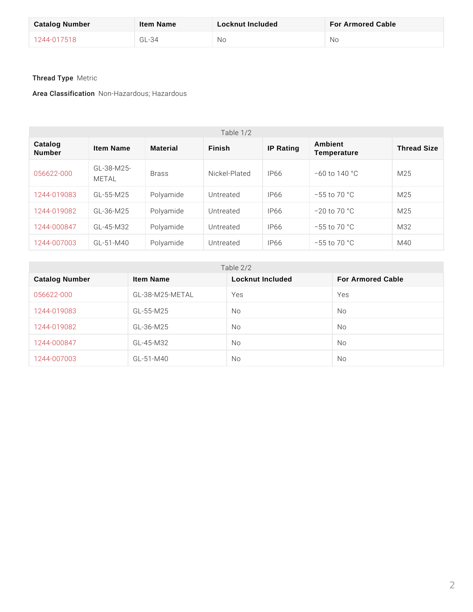| Catalog Number | Item Name | Locknut Included | For Armored Cable |
|----------------|-----------|------------------|-------------------|
| 1244-017518    | G L - 34  | Νo               | Nο                |

Thread TM peric

Area Classificani+oHmazardous; Hazardous

| Table $1/2$       |                                      |                                              |                 |           |                        |                    |
|-------------------|--------------------------------------|----------------------------------------------|-----------------|-----------|------------------------|--------------------|
| Catalog<br>Number | Item Name                            | Material                                     | Finish          | IP Rating | Ambient<br>Temperature | <b>Thread Size</b> |
|                   | 056622-000 GL-38-M25-<br>METAL Brass |                                              | Nickel-PlateR66 |           | " 60 to 140 °C         | M 2 5              |
|                   |                                      | 1244-01908GL-55-M25 Polyamide Untreated IP66 |                 |           | $"55$ to $70 °C$       | M 2 5              |
|                   |                                      | 1244-01908GL-36-M25 Polyamide Untreated      |                 | IP66      | " 20 to 70 °C          | M 2 5              |
|                   |                                      | 1244-00084GL-45-M32 Polyamide Untreated      |                 | IP66      | " 55 to 70 °C          | M 3 2              |
|                   |                                      | $1244 - 00700$ GL-51-M40 Polyamide Untreated |                 | IP66      | " 55 to 70 °C          | M 4 0              |

|  | Table $2/2$ |
|--|-------------|
|  |             |

| Catalog Number  | Item Name             | Locknut Included | For Armored Cable |
|-----------------|-----------------------|------------------|-------------------|
| $056622 - 000$  | $GL-38-M25-METAL Yes$ |                  | Yes               |
| $1244 - 019083$ | $G L - 55 - M 25$     | N o              | N o               |
| $1244 - 019082$ | $G L - 36 - M 25$     | N o              | N o               |
| $1244 - 000847$ | $G L - 45 - M 32$     | N o              | N o               |
| 1244-007003     | $GL - 51 - M 40$      | N o              | N o               |